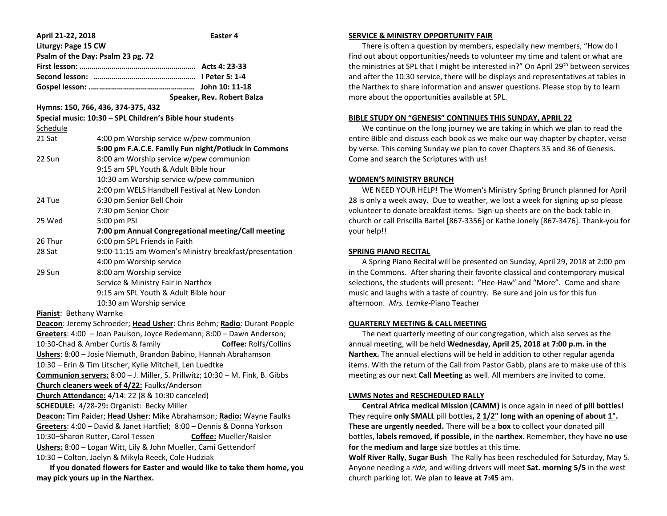| April 21-22, 2018                                                            | Easter 4                                              |
|------------------------------------------------------------------------------|-------------------------------------------------------|
| Liturgy: Page 15 CW                                                          |                                                       |
| Psalm of the Day: Psalm 23 pg. 72                                            |                                                       |
|                                                                              |                                                       |
|                                                                              |                                                       |
|                                                                              |                                                       |
|                                                                              | Speaker, Rev. Robert Balza                            |
| Hymns: 150, 766, 436, 374-375, 432                                           |                                                       |
| Special music: 10:30 - SPL Children's Bible hour students                    |                                                       |
| Schedule                                                                     |                                                       |
| 21 Sat                                                                       | 4:00 pm Worship service w/pew communion               |
|                                                                              | 5:00 pm F.A.C.E. Family Fun night/Potluck in Commons  |
| 22 Sun                                                                       | 8:00 am Worship service w/pew communion               |
|                                                                              | 9:15 am SPL Youth & Adult Bible hour                  |
|                                                                              | 10:30 am Worship service w/pew communion              |
|                                                                              | 2:00 pm WELS Handbell Festival at New London          |
| 24 Tue                                                                       | 6:30 pm Senior Bell Choir                             |
|                                                                              | 7:30 pm Senior Choir                                  |
| 25 Wed                                                                       | 5:00 pm PSI                                           |
|                                                                              | 7:00 pm Annual Congregational meeting/Call meeting    |
| 26 Thur                                                                      | 6:00 pm SPL Friends in Faith                          |
| 28 Sat                                                                       | 9:00-11:15 am Women's Ministry breakfast/presentation |
|                                                                              | 4:00 pm Worship service                               |
| 29 Sun                                                                       | 8:00 am Worship service                               |
|                                                                              | Service & Ministry Fair in Narthex                    |
|                                                                              | 9:15 am SPL Youth & Adult Bible hour                  |
|                                                                              | 10:30 am Worship service                              |
| Pianist: Bethany Warnke                                                      |                                                       |
| Deacon: Jeremy Schroeder; Head Usher: Chris Behm; Radio: Durant Popple       |                                                       |
| Greeters: 4:00 - Joan Paulson, Joyce Redemann; 8:00 - Dawn Anderson;         |                                                       |
| 10:30-Chad & Amber Curtis & family<br><b>Coffee: Rolfs/Collins</b>           |                                                       |
| Ushers: 8:00 - Josie Niemuth, Brandon Babino, Hannah Abrahamson              |                                                       |
| 10:30 - Erin & Tim Litscher, Kylie Mitchell, Len Luedtke                     |                                                       |
| Communion servers: 8:00 - J. Miller, S. Prillwitz; 10:30 - M. Fink, B. Gibbs |                                                       |
| Church cleaners week of 4/22: Faulks/Anderson                                |                                                       |
| Church Attendance: 4/14: 22 (8 & 10:30 canceled)                             |                                                       |
| <b>SCHEDULE:</b> 4/28-29: Organist: Becky Miller                             |                                                       |
| Deacon: Tim Paider; Head Usher: Mike Abrahamson; Radio: Wayne Faulks         |                                                       |
| Greeters: 4:00 - David & Janet Hartfiel; 8:00 - Dennis & Donna Yorkson       |                                                       |
| 10:30-Sharon Rutter, Carol Tessen<br>Coffee: Mueller/Raisler                 |                                                       |
| Ushers: 8:00 - Logan Witt, Lily & John Mueller, Cami Gettendorf              |                                                       |
| 10:30 - Colton, Jaelyn & Mikyla Reeck, Cole Hudziak                          |                                                       |
| If you donated flowers for Easter and would like to take them home, you      |                                                       |

**may pick yours up in the Narthex.**

### **SERVICE & MINISTRY OPPORTUNITY FAIR**

 There is often a question by members, especially new members, "How do I find out about opportunities/needs to volunteer my time and talent or what are the ministries at SPL that I might be interested in?" On April 29th between services and after the 10:30 service, there will be displays and representatives at tables in the Narthex to share information and answer questions. Please stop by to learn more about the opportunities available at SPL.

### **BIBLE STUDY ON "GENESIS" CONTINUES THIS SUNDAY, APRIL 22**

 We continue on the long journey we are taking in which we plan to read the entire Bible and discuss each book as we make our way chapter by chapter, verse by verse. This coming Sunday we plan to cover Chapters 35 and 36 of Genesis. Come and search the Scriptures with us!

## **WOMEN'S MINISTRY BRUNCH**

 WE NEED YOUR HELP! The Women's Ministry Spring Brunch planned for April 28 is only a week away. Due to weather, we lost a week for signing up so please volunteer to donate breakfast items. Sign-up sheets are on the back table in church or call Priscilla Bartel [867-3356] or Kathe Jonely [867-3476]. Thank-you for your help!!

# **SPRING PIANO RECITAL**

 A Spring Piano Recital will be presented on Sunday, April 29, 2018 at 2:00 pm in the Commons. After sharing their favorite classical and contemporary musical selections, the students will present: "Hee-Haw" and "More". Come and share music and laughs with a taste of country. Be sure and join us for this fun afternoon. *Mrs. Lemke*-Piano Teacher

# **QUARTERLY MEETING & CALL MEETING**

 The next quarterly meeting of our congregation, which also serves as the annual meeting, will be held **Wednesday, April 25, 2018 at 7:00 p.m. in the Narthex.** The annual elections will be held in addition to other regular agenda items. With the return of the Call from Pastor Gabb, plans are to make use of this meeting as our next **Call Meeting** as well. All members are invited to come.

# **LWMS Notes and RESCHEDULED RALLY**

 **Central Africa medical Mission (CAMM)** is once again in need of **pill bottles!**  They require **only SMALL** pill bottles**, 2 1/2" long with an opening of about 1". These are urgently needed.** There will be a **box** to collect your donated pill bottles, **labels removed, if possible,** in the **narthex**. Remember, they have **no use for** the **medium and large** size bottles at this time.

**Wolf River Rally, Sugar Bush** The Rally has been rescheduled for Saturday, May 5. Anyone needing a *ride,* and willing drivers will meet **Sat. morning 5/5** in the west church parking lot. We plan to **leave at 7:45** am.